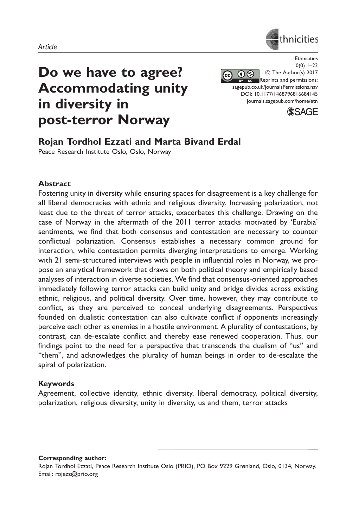

# Do we have to agree? Accommodating unity in diversity in post-terror Norway





# Rojan Tordhol Ezzati and Marta Bivand Erdal

Peace Research Institute Oslo, Oslo, Norway

## Abstract

Fostering unity in diversity while ensuring spaces for disagreement is a key challenge for all liberal democracies with ethnic and religious diversity. Increasing polarization, not least due to the threat of terror attacks, exacerbates this challenge. Drawing on the case of Norway in the aftermath of the 2011 terror attacks motivated by 'Eurabia' sentiments, we find that both consensus and contestation are necessary to counter conflictual polarization. Consensus establishes a necessary common ground for interaction, while contestation permits diverging interpretations to emerge. Working with 21 semi-structured interviews with people in influential roles in Norway, we propose an analytical framework that draws on both political theory and empirically based analyses of interaction in diverse societies. We find that consensus-oriented approaches immediately following terror attacks can build unity and bridge divides across existing ethnic, religious, and political diversity. Over time, however, they may contribute to conflict, as they are perceived to conceal underlying disagreements. Perspectives founded on dualistic contestation can also cultivate conflict if opponents increasingly perceive each other as enemies in a hostile environment. A plurality of contestations, by contrast, can de-escalate conflict and thereby ease renewed cooperation. Thus, our findings point to the need for a perspective that transcends the dualism of ''us'' and ''them'', and acknowledges the plurality of human beings in order to de-escalate the spiral of polarization.

## Keywords

Agreement, collective identity, ethnic diversity, liberal democracy, political diversity, polarization, religious diversity, unity in diversity, us and them, terror attacks

Corresponding author:

Rojan Tordhol Ezzati, Peace Research Institute Oslo (PRIO), PO Box 9229 Grønland, Oslo, 0134, Norway. Email: rojezz@prio.org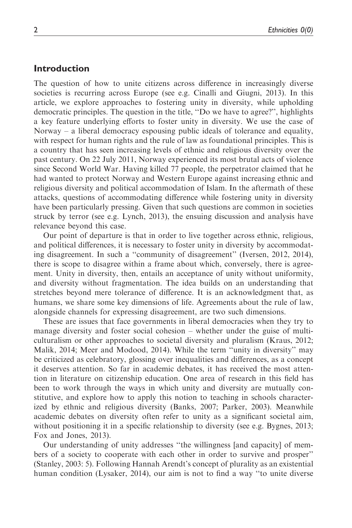## Introduction

The question of how to unite citizens across difference in increasingly diverse societies is recurring across Europe (see e.g. Cinalli and Giugni, 2013). In this article, we explore approaches to fostering unity in diversity, while upholding democratic principles. The question in the title, ''Do we have to agree?'', highlights a key feature underlying efforts to foster unity in diversity. We use the case of Norway – a liberal democracy espousing public ideals of tolerance and equality, with respect for human rights and the rule of law as foundational principles. This is a country that has seen increasing levels of ethnic and religious diversity over the past century. On 22 July 2011, Norway experienced its most brutal acts of violence since Second World War. Having killed 77 people, the perpetrator claimed that he had wanted to protect Norway and Western Europe against increasing ethnic and religious diversity and political accommodation of Islam. In the aftermath of these attacks, questions of accommodating difference while fostering unity in diversity have been particularly pressing. Given that such questions are common in societies struck by terror (see e.g. Lynch, 2013), the ensuing discussion and analysis have relevance beyond this case.

Our point of departure is that in order to live together across ethnic, religious, and political differences, it is necessary to foster unity in diversity by accommodating disagreement. In such a ''community of disagreement'' (Iversen, 2012, 2014), there is scope to disagree within a frame about which, conversely, there is agreement. Unity in diversity, then, entails an acceptance of unity without uniformity, and diversity without fragmentation. The idea builds on an understanding that stretches beyond mere tolerance of difference. It is an acknowledgment that, as humans, we share some key dimensions of life. Agreements about the rule of law, alongside channels for expressing disagreement, are two such dimensions.

These are issues that face governments in liberal democracies when they try to manage diversity and foster social cohesion – whether under the guise of multiculturalism or other approaches to societal diversity and pluralism (Kraus, 2012; Malik, 2014; Meer and Modood, 2014). While the term ''unity in diversity'' may be criticized as celebratory, glossing over inequalities and differences, as a concept it deserves attention. So far in academic debates, it has received the most attention in literature on citizenship education. One area of research in this field has been to work through the ways in which unity and diversity are mutually constitutive, and explore how to apply this notion to teaching in schools characterized by ethnic and religious diversity (Banks, 2007; Parker, 2003). Meanwhile academic debates on diversity often refer to unity as a significant societal aim, without positioning it in a specific relationship to diversity (see e.g. Bygnes, 2013; Fox and Jones, 2013).

Our understanding of unity addresses ''the willingness [and capacity] of members of a society to cooperate with each other in order to survive and prosper'' (Stanley, 2003: 5). Following Hannah Arendt's concept of plurality as an existential human condition (Lysaker, 2014), our aim is not to find a way ''to unite diverse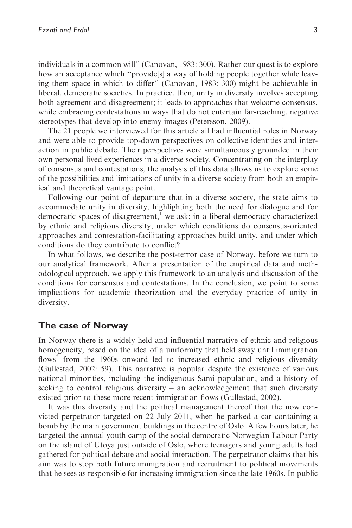individuals in a common will'' (Canovan, 1983: 300). Rather our quest is to explore how an acceptance which "provide<sup>[s]</sup> a way of holding people together while leaving them space in which to differ'' (Canovan, 1983: 300) might be achievable in liberal, democratic societies. In practice, then, unity in diversity involves accepting both agreement and disagreement; it leads to approaches that welcome consensus, while embracing contestations in ways that do not entertain far-reaching, negative stereotypes that develop into enemy images (Petersson, 2009).

The 21 people we interviewed for this article all had influential roles in Norway and were able to provide top-down perspectives on collective identities and interaction in public debate. Their perspectives were simultaneously grounded in their own personal lived experiences in a diverse society. Concentrating on the interplay of consensus and contestations, the analysis of this data allows us to explore some of the possibilities and limitations of unity in a diverse society from both an empirical and theoretical vantage point.

Following our point of departure that in a diverse society, the state aims to accommodate unity in diversity, highlighting both the need for dialogue and for democratic spaces of disagreement,<sup>1</sup> we ask: in a liberal democracy characterized by ethnic and religious diversity, under which conditions do consensus-oriented approaches and contestation-facilitating approaches build unity, and under which conditions do they contribute to conflict?

In what follows, we describe the post-terror case of Norway, before we turn to our analytical framework. After a presentation of the empirical data and methodological approach, we apply this framework to an analysis and discussion of the conditions for consensus and contestations. In the conclusion, we point to some implications for academic theorization and the everyday practice of unity in diversity.

## The case of Norway

In Norway there is a widely held and influential narrative of ethnic and religious homogeneity, based on the idea of a uniformity that held sway until immigration flows<sup>2</sup> from the 1960s onward led to increased ethnic and religious diversity (Gullestad, 2002: 59). This narrative is popular despite the existence of various national minorities, including the indigenous Sami population, and a history of seeking to control religious diversity – an acknowledgement that such diversity existed prior to these more recent immigration flows (Gullestad, 2002).

It was this diversity and the political management thereof that the now convicted perpetrator targeted on 22 July 2011, when he parked a car containing a bomb by the main government buildings in the centre of Oslo. A few hours later, he targeted the annual youth camp of the social democratic Norwegian Labour Party on the island of Utøya just outside of Oslo, where teenagers and young adults had gathered for political debate and social interaction. The perpetrator claims that his aim was to stop both future immigration and recruitment to political movements that he sees as responsible for increasing immigration since the late 1960s. In public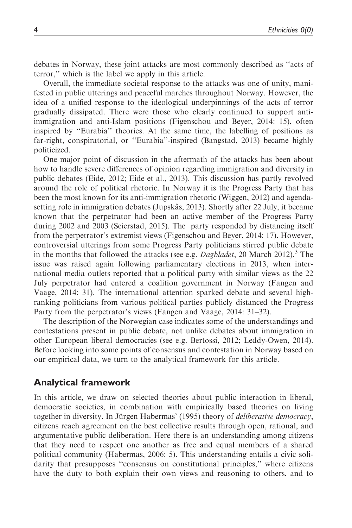debates in Norway, these joint attacks are most commonly described as ''acts of terror,'' which is the label we apply in this article.

Overall, the immediate societal response to the attacks was one of unity, manifested in public utterings and peaceful marches throughout Norway. However, the idea of a unified response to the ideological underpinnings of the acts of terror gradually dissipated. There were those who clearly continued to support antiimmigration and anti-Islam positions (Figenschou and Beyer, 2014: 15), often inspired by ''Eurabia'' theories. At the same time, the labelling of positions as far-right, conspiratorial, or ''Eurabia''-inspired (Bangstad, 2013) became highly politicized.

One major point of discussion in the aftermath of the attacks has been about how to handle severe differences of opinion regarding immigration and diversity in public debates (Eide, 2012; Eide et al., 2013). This discussion has partly revolved around the role of political rhetoric. In Norway it is the Progress Party that has been the most known for its anti-immigration rhetoric (Wiggen, 2012) and agendasetting role in immigration debates (Jupskås, 2013). Shortly after 22 July, it became known that the perpetrator had been an active member of the Progress Party during 2002 and 2003 (Seierstad, 2015). The party responded by distancing itself from the perpetrator's extremist views (Figenschou and Beyer, 2014: 17). However, controversial utterings from some Progress Party politicians stirred public debate in the months that followed the attacks (see e.g.  $Dagbladet$ , 20 March 2012).<sup>3</sup> The issue was raised again following parliamentary elections in 2013, when international media outlets reported that a political party with similar views as the 22 July perpetrator had entered a coalition government in Norway (Fangen and Vaage, 2014: 31). The international attention sparked debate and several highranking politicians from various political parties publicly distanced the Progress Party from the perpetrator's views (Fangen and Vaage, 2014: 31–32).

The description of the Norwegian case indicates some of the understandings and contestations present in public debate, not unlike debates about immigration in other European liberal democracies (see e.g. Bertossi, 2012; Leddy-Owen, 2014). Before looking into some points of consensus and contestation in Norway based on our empirical data, we turn to the analytical framework for this article.

## Analytical framework

In this article, we draw on selected theories about public interaction in liberal, democratic societies, in combination with empirically based theories on living together in diversity. In Jürgen Habermas' (1995) theory of *deliberative democracy*, citizens reach agreement on the best collective results through open, rational, and argumentative public deliberation. Here there is an understanding among citizens that they need to respect one another as free and equal members of a shared political community (Habermas, 2006: 5). This understanding entails a civic solidarity that presupposes ''consensus on constitutional principles,'' where citizens have the duty to both explain their own views and reasoning to others, and to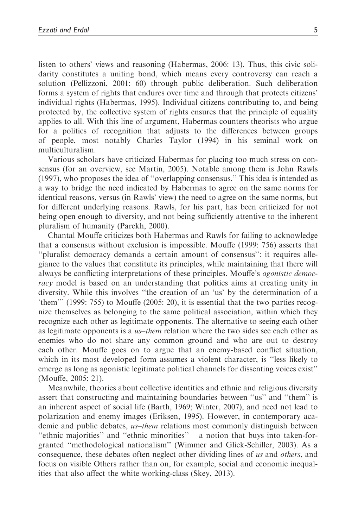listen to others' views and reasoning (Habermas, 2006: 13). Thus, this civic solidarity constitutes a uniting bond, which means every controversy can reach a solution (Pellizzoni, 2001: 60) through public deliberation. Such deliberation forms a system of rights that endures over time and through that protects citizens' individual rights (Habermas, 1995). Individual citizens contributing to, and being protected by, the collective system of rights ensures that the principle of equality applies to all. With this line of argument, Habermas counters theorists who argue for a politics of recognition that adjusts to the differences between groups of people, most notably Charles Taylor (1994) in his seminal work on multiculturalism.

Various scholars have criticized Habermas for placing too much stress on consensus (for an overview, see Martin, 2005). Notable among them is John Rawls (1997), who proposes the idea of ''overlapping consensus.'' This idea is intended as a way to bridge the need indicated by Habermas to agree on the same norms for identical reasons, versus (in Rawls' view) the need to agree on the same norms, but for different underlying reasons. Rawls, for his part, has been criticized for not being open enough to diversity, and not being sufficiently attentive to the inherent pluralism of humanity (Parekh, 2000).

Chantal Mouffe criticizes both Habermas and Rawls for failing to acknowledge that a consensus without exclusion is impossible. Mouffe (1999: 756) asserts that ''pluralist democracy demands a certain amount of consensus'': it requires allegiance to the values that constitute its principles, while maintaining that there will always be conflicting interpretations of these principles. Mouffe's agonistic democracy model is based on an understanding that politics aims at creating unity in diversity. While this involves ''the creation of an 'us' by the determination of a 'them''' (1999: 755) to Mouffe (2005: 20), it is essential that the two parties recognize themselves as belonging to the same political association, within which they recognize each other as legitimate opponents. The alternative to seeing each other as legitimate opponents is a us–them relation where the two sides see each other as enemies who do not share any common ground and who are out to destroy each other. Mouffe goes on to argue that an enemy-based conflict situation, which in its most developed form assumes a violent character, is ''less likely to emerge as long as agonistic legitimate political channels for dissenting voices exist'' (Mouffe, 2005: 21).

Meanwhile, theories about collective identities and ethnic and religious diversity assert that constructing and maintaining boundaries between ''us'' and ''them'' is an inherent aspect of social life (Barth, 1969; Winter, 2007), and need not lead to polarization and enemy images (Eriksen, 1995). However, in contemporary academic and public debates, *us–them* relations most commonly distinguish between ''ethnic majorities'' and ''ethnic minorities'' – a notion that buys into taken-forgranted ''methodological nationalism'' (Wimmer and Glick-Schiller, 2003). As a consequence, these debates often neglect other dividing lines of us and *others*, and focus on visible Others rather than on, for example, social and economic inequalities that also affect the white working-class (Skey, 2013).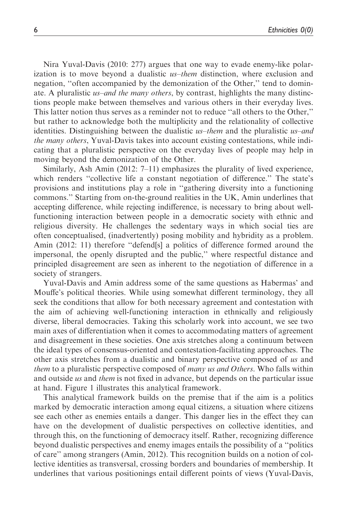Nira Yuval-Davis (2010: 277) argues that one way to evade enemy-like polarization is to move beyond a dualistic *us–them* distinction, where exclusion and negation, ''often accompanied by the demonization of the Other,'' tend to dominate. A pluralistic *us–and the many others*, by contrast, highlights the many distinctions people make between themselves and various others in their everyday lives. This latter notion thus serves as a reminder not to reduce ''all others to the Other,'' but rather to acknowledge both the multiplicity and the relationality of collective identities. Distinguishing between the dualistic  $us$ -them and the pluralistic  $us$ -and the many others, Yuval-Davis takes into account existing contestations, while indicating that a pluralistic perspective on the everyday lives of people may help in moving beyond the demonization of the Other.

Similarly, Ash Amin  $(2012: 7-11)$  emphasizes the plurality of lived experience, which renders ''collective life a constant negotiation of difference.'' The state's provisions and institutions play a role in ''gathering diversity into a functioning commons.'' Starting from on-the-ground realities in the UK, Amin underlines that accepting difference, while rejecting indifference, is necessary to bring about wellfunctioning interaction between people in a democratic society with ethnic and religious diversity. He challenges the sedentary ways in which social ties are often conceptualised, (inadvertently) posing mobility and hybridity as a problem. Amin (2012: 11) therefore ''defend[s] a politics of difference formed around the impersonal, the openly disrupted and the public,'' where respectful distance and principled disagreement are seen as inherent to the negotiation of difference in a society of strangers.

Yuval-Davis and Amin address some of the same questions as Habermas' and Mouffe's political theories. While using somewhat different terminology, they all seek the conditions that allow for both necessary agreement and contestation with the aim of achieving well-functioning interaction in ethnically and religiously diverse, liberal democracies. Taking this scholarly work into account, we see two main axes of differentiation when it comes to accommodating matters of agreement and disagreement in these societies. One axis stretches along a continuum between the ideal types of consensus-oriented and contestation-facilitating approaches. The other axis stretches from a dualistic and binary perspective composed of us and *them* to a pluralistic perspective composed of *many us and Others*. Who falls within and outside *us* and *them* is not fixed in advance, but depends on the particular issue at hand. Figure 1 illustrates this analytical framework.

This analytical framework builds on the premise that if the aim is a politics marked by democratic interaction among equal citizens, a situation where citizens see each other as enemies entails a danger. This danger lies in the effect they can have on the development of dualistic perspectives on collective identities, and through this, on the functioning of democracy itself. Rather, recognizing difference beyond dualistic perspectives and enemy images entails the possibility of a ''politics of care'' among strangers (Amin, 2012). This recognition builds on a notion of collective identities as transversal, crossing borders and boundaries of membership. It underlines that various positionings entail different points of views (Yuval-Davis,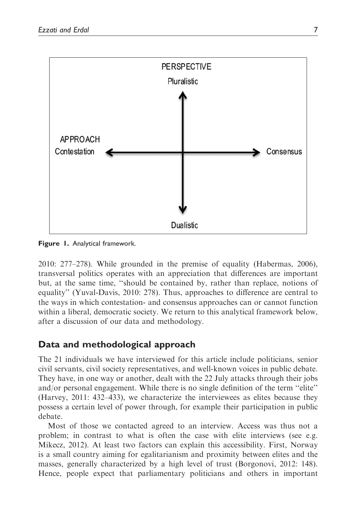

Figure 1. Analytical framework.

2010: 277–278). While grounded in the premise of equality (Habermas, 2006), transversal politics operates with an appreciation that differences are important but, at the same time, ''should be contained by, rather than replace, notions of equality'' (Yuval-Davis, 2010: 278). Thus, approaches to difference are central to the ways in which contestation- and consensus approaches can or cannot function within a liberal, democratic society. We return to this analytical framework below, after a discussion of our data and methodology.

# Data and methodological approach

The 21 individuals we have interviewed for this article include politicians, senior civil servants, civil society representatives, and well-known voices in public debate. They have, in one way or another, dealt with the 22 July attacks through their jobs and/or personal engagement. While there is no single definition of the term ''elite'' (Harvey, 2011: 432–433), we characterize the interviewees as elites because they possess a certain level of power through, for example their participation in public debate.

Most of those we contacted agreed to an interview. Access was thus not a problem; in contrast to what is often the case with elite interviews (see e.g. Mikecz, 2012). At least two factors can explain this accessibility. First, Norway is a small country aiming for egalitarianism and proximity between elites and the masses, generally characterized by a high level of trust (Borgonovi, 2012: 148). Hence, people expect that parliamentary politicians and others in important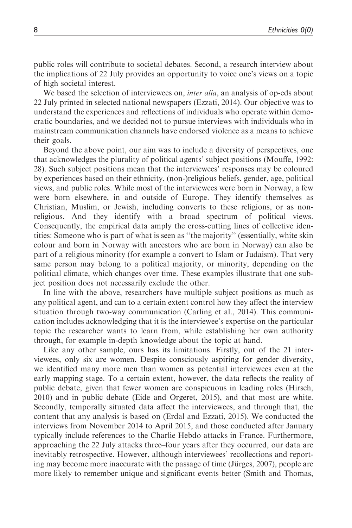public roles will contribute to societal debates. Second, a research interview about the implications of 22 July provides an opportunity to voice one's views on a topic of high societal interest.

We based the selection of interviewees on, *inter alia*, an analysis of op-eds about 22 July printed in selected national newspapers (Ezzati, 2014). Our objective was to understand the experiences and reflections of individuals who operate within democratic boundaries, and we decided not to pursue interviews with individuals who in mainstream communication channels have endorsed violence as a means to achieve their goals.

Beyond the above point, our aim was to include a diversity of perspectives, one that acknowledges the plurality of political agents' subject positions (Mouffe, 1992: 28). Such subject positions mean that the interviewees' responses may be coloured by experiences based on their ethnicity, (non-)religious beliefs, gender, age, political views, and public roles. While most of the interviewees were born in Norway, a few were born elsewhere, in and outside of Europe. They identify themselves as Christian, Muslim, or Jewish, including converts to these religions, or as nonreligious. And they identify with a broad spectrum of political views. Consequently, the empirical data amply the cross-cutting lines of collective identities: Someone who is part of what is seen as ''the majority'' (essentially, white skin colour and born in Norway with ancestors who are born in Norway) can also be part of a religious minority (for example a convert to Islam or Judaism). That very same person may belong to a political majority, or minority, depending on the political climate, which changes over time. These examples illustrate that one subject position does not necessarily exclude the other.

In line with the above, researchers have multiple subject positions as much as any political agent, and can to a certain extent control how they affect the interview situation through two-way communication (Carling et al., 2014). This communication includes acknowledging that it is the interviewee's expertise on the particular topic the researcher wants to learn from, while establishing her own authority through, for example in-depth knowledge about the topic at hand.

Like any other sample, ours has its limitations. Firstly, out of the 21 interviewees, only six are women. Despite consciously aspiring for gender diversity, we identified many more men than women as potential interviewees even at the early mapping stage. To a certain extent, however, the data reflects the reality of public debate, given that fewer women are conspicuous in leading roles (Hirsch, 2010) and in public debate (Eide and Orgeret, 2015), and that most are white. Secondly, temporally situated data affect the interviewees, and through that, the content that any analysis is based on (Erdal and Ezzati, 2015). We conducted the interviews from November 2014 to April 2015, and those conducted after January typically include references to the Charlie Hebdo attacks in France. Furthermore, approaching the 22 July attacks three–four years after they occurred, our data are inevitably retrospective. However, although interviewees' recollections and reporting may become more inaccurate with the passage of time (Jürges, 2007), people are more likely to remember unique and significant events better (Smith and Thomas,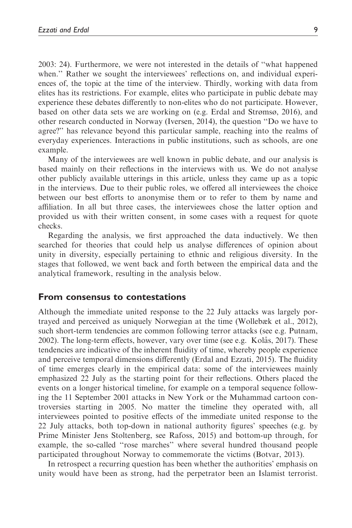2003: 24). Furthermore, we were not interested in the details of ''what happened when." Rather we sought the interviewees' reflections on, and individual experiences of, the topic at the time of the interview. Thirdly, working with data from elites has its restrictions. For example, elites who participate in public debate may experience these debates differently to non-elites who do not participate. However, based on other data sets we are working on (e.g. Erdal and Strømsø, 2016), and other research conducted in Norway (Iversen, 2014), the question ''Do we have to agree?'' has relevance beyond this particular sample, reaching into the realms of everyday experiences. Interactions in public institutions, such as schools, are one example.

Many of the interviewees are well known in public debate, and our analysis is based mainly on their reflections in the interviews with us. We do not analyse other publicly available utterings in this article, unless they came up as a topic in the interviews. Due to their public roles, we offered all interviewees the choice between our best efforts to anonymise them or to refer to them by name and affiliation. In all but three cases, the interviewees chose the latter option and provided us with their written consent, in some cases with a request for quote checks.

Regarding the analysis, we first approached the data inductively. We then searched for theories that could help us analyse differences of opinion about unity in diversity, especially pertaining to ethnic and religious diversity. In the stages that followed, we went back and forth between the empirical data and the analytical framework, resulting in the analysis below.

#### From consensus to contestations

Although the immediate united response to the 22 July attacks was largely portrayed and perceived as uniquely Norwegian at the time (Wollebæk et al., 2012), such short-term tendencies are common following terror attacks (see e.g. Putnam, 2002). The long-term effects, however, vary over time (see e.g. Kolås, 2017). These tendencies are indicative of the inherent fluidity of time, whereby people experience and perceive temporal dimensions differently (Erdal and Ezzati, 2015). The fluidity of time emerges clearly in the empirical data: some of the interviewees mainly emphasized 22 July as the starting point for their reflections. Others placed the events on a longer historical timeline, for example on a temporal sequence following the 11 September 2001 attacks in New York or the Muhammad cartoon controversies starting in 2005. No matter the timeline they operated with, all interviewees pointed to positive effects of the immediate united response to the 22 July attacks, both top-down in national authority figures' speeches (e.g. by Prime Minister Jens Stoltenberg, see Rafoss, 2015) and bottom-up through, for example, the so-called ''rose marches'' where several hundred thousand people participated throughout Norway to commemorate the victims (Botvar, 2013).

In retrospect a recurring question has been whether the authorities' emphasis on unity would have been as strong, had the perpetrator been an Islamist terrorist.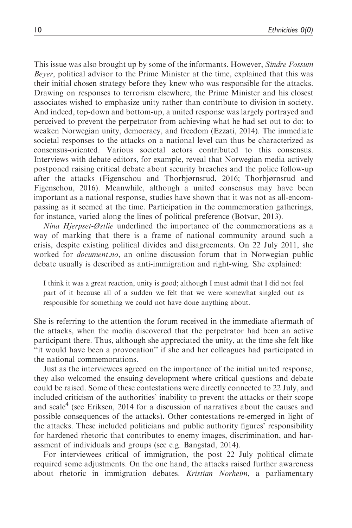This issue was also brought up by some of the informants. However, *Sindre Fossum* Beyer, political advisor to the Prime Minister at the time, explained that this was their initial chosen strategy before they knew who was responsible for the attacks. Drawing on responses to terrorism elsewhere, the Prime Minister and his closest associates wished to emphasize unity rather than contribute to division in society. And indeed, top-down and bottom-up, a united response was largely portrayed and perceived to prevent the perpetrator from achieving what he had set out to do: to weaken Norwegian unity, democracy, and freedom (Ezzati, 2014). The immediate societal responses to the attacks on a national level can thus be characterized as consensus-oriented. Various societal actors contributed to this consensus. Interviews with debate editors, for example, reveal that Norwegian media actively postponed raising critical debate about security breaches and the police follow-up after the attacks (Figenschou and Thorbjørnsrud, 2016; Thorbjørnsrud and Figenschou, 2016). Meanwhile, although a united consensus may have been important as a national response, studies have shown that it was not as all-encompassing as it seemed at the time. Participation in the commemoration gatherings, for instance, varied along the lines of political preference (Botvar, 2013).

Nina Hjerpset-Østlie underlined the importance of the commemorations as a way of marking that there is a frame of national community around such a crisis, despite existing political divides and disagreements. On 22 July 2011, she worked for *document.no*, an online discussion forum that in Norwegian public debate usually is described as anti-immigration and right-wing. She explained:

I think it was a great reaction, unity is good; although I must admit that I did not feel part of it because all of a sudden we felt that we were somewhat singled out as responsible for something we could not have done anything about.

She is referring to the attention the forum received in the immediate aftermath of the attacks, when the media discovered that the perpetrator had been an active participant there. Thus, although she appreciated the unity, at the time she felt like ''it would have been a provocation'' if she and her colleagues had participated in the national commemorations.

Just as the interviewees agreed on the importance of the initial united response, they also welcomed the ensuing development where critical questions and debate could be raised. Some of these contestations were directly connected to 22 July, and included criticism of the authorities' inability to prevent the attacks or their scope and scale<sup>4</sup> (see Eriksen, 2014 for a discussion of narratives about the causes and possible consequences of the attacks). Other contestations re-emerged in light of the attacks. These included politicians and public authority figures' responsibility for hardened rhetoric that contributes to enemy images, discrimination, and harassment of individuals and groups (see e.g. Bangstad, 2014).

For interviewees critical of immigration, the post 22 July political climate required some adjustments. On the one hand, the attacks raised further awareness about rhetoric in immigration debates. *Kristian Norheim*, a parliamentary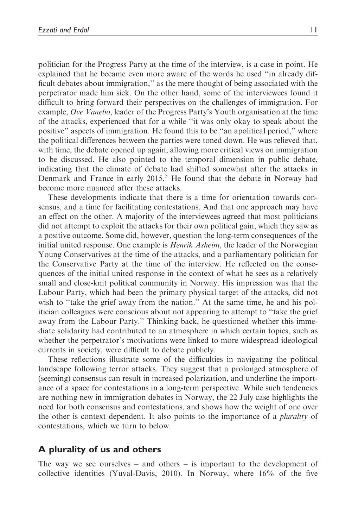politician for the Progress Party at the time of the interview, is a case in point. He explained that he became even more aware of the words he used ''in already difficult debates about immigration,'' as the mere thought of being associated with the perpetrator made him sick. On the other hand, some of the interviewees found it difficult to bring forward their perspectives on the challenges of immigration. For example, Ove Vanebo, leader of the Progress Party's Youth organisation at the time of the attacks, experienced that for a while ''it was only okay to speak about the positive'' aspects of immigration. He found this to be ''an apolitical period,'' where the political differences between the parties were toned down. He was relieved that, with time, the debate opened up again, allowing more critical views on immigration to be discussed. He also pointed to the temporal dimension in public debate, indicating that the climate of debate had shifted somewhat after the attacks in Denmark and France in early  $2015<sup>5</sup>$  He found that the debate in Norway had become more nuanced after these attacks.

These developments indicate that there is a time for orientation towards consensus, and a time for facilitating contestations. And that one approach may have an effect on the other. A majority of the interviewees agreed that most politicians did not attempt to exploit the attacks for their own political gain, which they saw as a positive outcome. Some did, however, question the long-term consequences of the initial united response. One example is *Henrik Asheim*, the leader of the Norwegian Young Conservatives at the time of the attacks, and a parliamentary politician for the Conservative Party at the time of the interview. He reflected on the consequences of the initial united response in the context of what he sees as a relatively small and close-knit political community in Norway. His impression was that the Labour Party, which had been the primary physical target of the attacks, did not wish to "take the grief away from the nation." At the same time, he and his politician colleagues were conscious about not appearing to attempt to ''take the grief away from the Labour Party.'' Thinking back, he questioned whether this immediate solidarity had contributed to an atmosphere in which certain topics, such as whether the perpetrator's motivations were linked to more widespread ideological currents in society, were difficult to debate publicly.

These reflections illustrate some of the difficulties in navigating the political landscape following terror attacks. They suggest that a prolonged atmosphere of (seeming) consensus can result in increased polarization, and underline the importance of a space for contestations in a long-term perspective. While such tendencies are nothing new in immigration debates in Norway, the 22 July case highlights the need for both consensus and contestations, and shows how the weight of one over the other is context dependent. It also points to the importance of a plurality of contestations, which we turn to below.

## A plurality of us and others

The way we see ourselves – and others – is important to the development of collective identities (Yuval-Davis, 2010). In Norway, where 16% of the five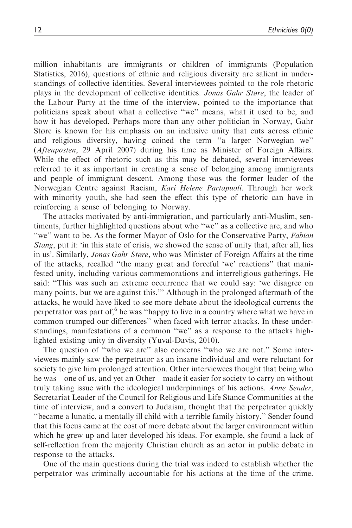million inhabitants are immigrants or children of immigrants (Population Statistics, 2016), questions of ethnic and religious diversity are salient in understandings of collective identities. Several interviewees pointed to the role rhetoric plays in the development of collective identities. Jonas Gahr Støre, the leader of the Labour Party at the time of the interview, pointed to the importance that politicians speak about what a collective ''we'' means, what it used to be, and how it has developed. Perhaps more than any other politician in Norway, Gahr Støre is known for his emphasis on an inclusive unity that cuts across ethnic and religious diversity, having coined the term ''a larger Norwegian we'' (Aftenposten, 29 April 2007) during his time as Minister of Foreign Affairs. While the effect of rhetoric such as this may be debated, several interviewees referred to it as important in creating a sense of belonging among immigrants and people of immigrant descent. Among those was the former leader of the Norwegian Centre against Racism, Kari Helene Partapuoli. Through her work with minority youth, she had seen the effect this type of rhetoric can have in reinforcing a sense of belonging to Norway.

The attacks motivated by anti-immigration, and particularly anti-Muslim, sentiments, further highlighted questions about who ''we'' as a collective are, and who "we" want to be. As the former Mayor of Oslo for the Conservative Party, *Fabian* Stang, put it: 'in this state of crisis, we showed the sense of unity that, after all, lies in us'. Similarly, Jonas Gahr Støre, who was Minister of Foreign Affairs at the time of the attacks, recalled ''the many great and forceful 'we' reactions'' that manifested unity, including various commemorations and interreligious gatherings. He said: ''This was such an extreme occurrence that we could say: 'we disagree on many points, but we are against this.''' Although in the prolonged aftermath of the attacks, he would have liked to see more debate about the ideological currents the perpetrator was part of, $6$  he was "happy to live in a country where what we have in common trumped our differences'' when faced with terror attacks. In these understandings, manifestations of a common ''we'' as a response to the attacks highlighted existing unity in diversity (Yuval-Davis, 2010).

The question of ''who we are'' also concerns ''who we are not.'' Some interviewees mainly saw the perpetrator as an insane individual and were reluctant for society to give him prolonged attention. Other interviewees thought that being who he was – one of us, and yet an Other – made it easier for society to carry on without truly taking issue with the ideological underpinnings of his actions. Anne Sender, Secretariat Leader of the Council for Religious and Life Stance Communities at the time of interview, and a convert to Judaism, thought that the perpetrator quickly ''became a lunatic, a mentally ill child with a terrible family history.'' Sender found that this focus came at the cost of more debate about the larger environment within which he grew up and later developed his ideas. For example, she found a lack of self-reflection from the majority Christian church as an actor in public debate in response to the attacks.

One of the main questions during the trial was indeed to establish whether the perpetrator was criminally accountable for his actions at the time of the crime.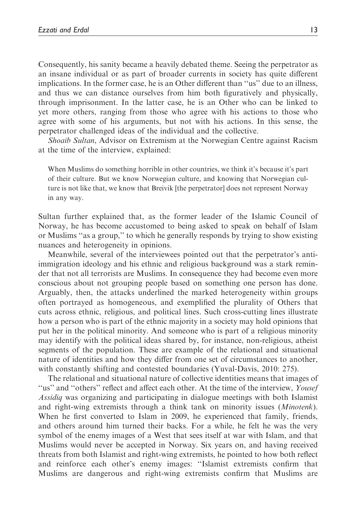Consequently, his sanity became a heavily debated theme. Seeing the perpetrator as an insane individual or as part of broader currents in society has quite different implications. In the former case, he is an Other different than ''us'' due to an illness, and thus we can distance ourselves from him both figuratively and physically, through imprisonment. In the latter case, he is an Other who can be linked to yet more others, ranging from those who agree with his actions to those who agree with some of his arguments, but not with his actions. In this sense, the perpetrator challenged ideas of the individual and the collective.

Shoaib Sultan, Advisor on Extremism at the Norwegian Centre against Racism at the time of the interview, explained:

When Muslims do something horrible in other countries, we think it's because it's part of their culture. But we know Norwegian culture, and knowing that Norwegian culture is not like that, we know that Breivik [the perpetrator] does not represent Norway in any way.

Sultan further explained that, as the former leader of the Islamic Council of Norway, he has become accustomed to being asked to speak on behalf of Islam or Muslims ''as a group,'' to which he generally responds by trying to show existing nuances and heterogeneity in opinions.

Meanwhile, several of the interviewees pointed out that the perpetrator's antiimmigration ideology and his ethnic and religious background was a stark reminder that not all terrorists are Muslims. In consequence they had become even more conscious about not grouping people based on something one person has done. Arguably, then, the attacks underlined the marked heterogeneity within groups often portrayed as homogeneous, and exemplified the plurality of Others that cuts across ethnic, religious, and political lines. Such cross-cutting lines illustrate how a person who is part of the ethnic majority in a society may hold opinions that put her in the political minority. And someone who is part of a religious minority may identify with the political ideas shared by, for instance, non-religious, atheist segments of the population. These are example of the relational and situational nature of identities and how they differ from one set of circumstances to another, with constantly shifting and contested boundaries (Yuval-Davis, 2010: 275).

The relational and situational nature of collective identities means that images of "us" and "others" reflect and affect each other. At the time of the interview, Yousef Assidiq was organizing and participating in dialogue meetings with both Islamist and right-wing extremists through a think tank on minority issues (Minotenk). When he first converted to Islam in 2009, he experienced that family, friends, and others around him turned their backs. For a while, he felt he was the very symbol of the enemy images of a West that sees itself at war with Islam, and that Muslims would never be accepted in Norway. Six years on, and having received threats from both Islamist and right-wing extremists, he pointed to how both reflect and reinforce each other's enemy images: ''Islamist extremists confirm that Muslims are dangerous and right-wing extremists confirm that Muslims are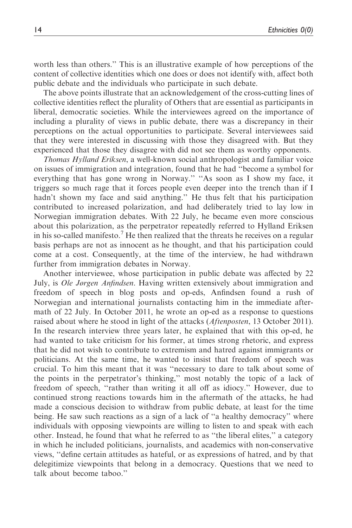worth less than others.'' This is an illustrative example of how perceptions of the content of collective identities which one does or does not identify with, affect both public debate and the individuals who participate in such debate.

The above points illustrate that an acknowledgement of the cross-cutting lines of collective identities reflect the plurality of Others that are essential as participants in liberal, democratic societies. While the interviewees agreed on the importance of including a plurality of views in public debate, there was a discrepancy in their perceptions on the actual opportunities to participate. Several interviewees said that they were interested in discussing with those they disagreed with. But they experienced that those they disagree with did not see them as worthy opponents.

Thomas Hylland Eriksen, a well-known social anthropologist and familiar voice on issues of immigration and integration, found that he had ''become a symbol for everything that has gone wrong in Norway.'' ''As soon as I show my face, it triggers so much rage that it forces people even deeper into the trench than if I hadn't shown my face and said anything.'' He thus felt that his participation contributed to increased polarization, and had deliberately tried to lay low in Norwegian immigration debates. With 22 July, he became even more conscious about this polarization, as the perpetrator repeatedly referred to Hylland Eriksen in his so-called manifesto.<sup>7</sup> He then realized that the threats he receives on a regular basis perhaps are not as innocent as he thought, and that his participation could come at a cost. Consequently, at the time of the interview, he had withdrawn further from immigration debates in Norway.

Another interviewee, whose participation in public debate was affected by 22 July, is *Ole Jørgen Anfindsen*. Having written extensively about immigration and freedom of speech in blog posts and op-eds, Anfindsen found a rush of Norwegian and international journalists contacting him in the immediate aftermath of 22 July. In October 2011, he wrote an op-ed as a response to questions raised about where he stood in light of the attacks (*Aftenposten*, 13 October 2011). In the research interview three years later, he explained that with this op-ed, he had wanted to take criticism for his former, at times strong rhetoric, and express that he did not wish to contribute to extremism and hatred against immigrants or politicians. At the same time, he wanted to insist that freedom of speech was crucial. To him this meant that it was ''necessary to dare to talk about some of the points in the perpetrator's thinking,'' most notably the topic of a lack of freedom of speech, ''rather than writing it all off as idiocy.'' However, due to continued strong reactions towards him in the aftermath of the attacks, he had made a conscious decision to withdraw from public debate, at least for the time being. He saw such reactions as a sign of a lack of ''a healthy democracy'' where individuals with opposing viewpoints are willing to listen to and speak with each other. Instead, he found that what he referred to as ''the liberal elites,'' a category in which he included politicians, journalists, and academics with non-conservative views, ''define certain attitudes as hateful, or as expressions of hatred, and by that delegitimize viewpoints that belong in a democracy. Questions that we need to talk about become taboo.''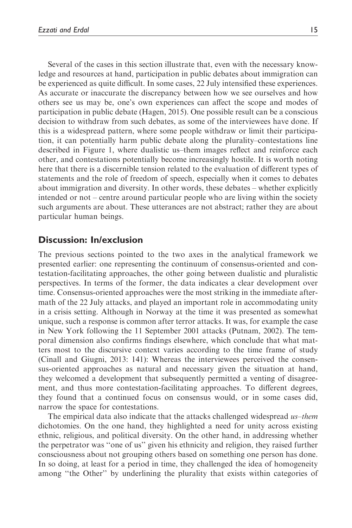Several of the cases in this section illustrate that, even with the necessary knowledge and resources at hand, participation in public debates about immigration can be experienced as quite difficult. In some cases, 22 July intensified these experiences. As accurate or inaccurate the discrepancy between how we see ourselves and how others see us may be, one's own experiences can affect the scope and modes of participation in public debate (Hagen, 2015). One possible result can be a conscious decision to withdraw from such debates, as some of the interviewees have done. If this is a widespread pattern, where some people withdraw or limit their participation, it can potentially harm public debate along the plurality–contestations line described in Figure 1, where dualistic us–them images reflect and reinforce each other, and contestations potentially become increasingly hostile. It is worth noting here that there is a discernible tension related to the evaluation of different types of statements and the role of freedom of speech, especially when it comes to debates about immigration and diversity. In other words, these debates – whether explicitly intended or not – centre around particular people who are living within the society such arguments are about. These utterances are not abstract; rather they are about particular human beings.

## Discussion: In/exclusion

The previous sections pointed to the two axes in the analytical framework we presented earlier: one representing the continuum of consensus-oriented and contestation-facilitating approaches, the other going between dualistic and pluralistic perspectives. In terms of the former, the data indicates a clear development over time. Consensus-oriented approaches were the most striking in the immediate aftermath of the 22 July attacks, and played an important role in accommodating unity in a crisis setting. Although in Norway at the time it was presented as somewhat unique, such a response is common after terror attacks. It was, for example the case in New York following the 11 September 2001 attacks (Putnam, 2002). The temporal dimension also confirms findings elsewhere, which conclude that what matters most to the discursive context varies according to the time frame of study (Cinall and Giugni, 2013: 141): Whereas the interviewees perceived the consensus-oriented approaches as natural and necessary given the situation at hand, they welcomed a development that subsequently permitted a venting of disagreement, and thus more contestation-facilitating approaches. To different degrees, they found that a continued focus on consensus would, or in some cases did, narrow the space for contestations.

The empirical data also indicate that the attacks challenged widespread us–them dichotomies. On the one hand, they highlighted a need for unity across existing ethnic, religious, and political diversity. On the other hand, in addressing whether the perpetrator was ''one of us'' given his ethnicity and religion, they raised further consciousness about not grouping others based on something one person has done. In so doing, at least for a period in time, they challenged the idea of homogeneity among ''the Other'' by underlining the plurality that exists within categories of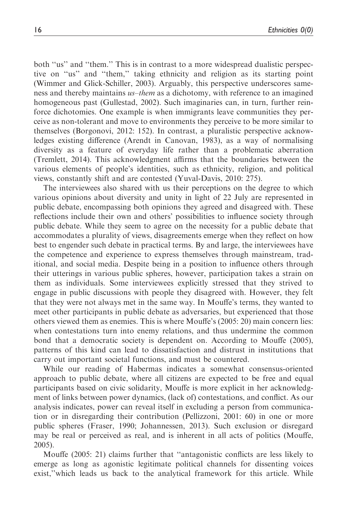both ''us'' and ''them.'' This is in contrast to a more widespread dualistic perspective on ''us'' and ''them,'' taking ethnicity and religion as its starting point (Wimmer and Glick-Schiller, 2003). Arguably, this perspective underscores sameness and thereby maintains *us–them* as a dichotomy, with reference to an imagined homogeneous past (Gullestad, 2002). Such imaginaries can, in turn, further reinforce dichotomies. One example is when immigrants leave communities they perceive as non-tolerant and move to environments they perceive to be more similar to themselves (Borgonovi, 2012: 152). In contrast, a pluralistic perspective acknowledges existing difference (Arendt in Canovan, 1983), as a way of normalising diversity as a feature of everyday life rather than a problematic aberration (Tremlett, 2014). This acknowledgment affirms that the boundaries between the various elements of people's identities, such as ethnicity, religion, and political views, constantly shift and are contested (Yuval-Davis, 2010: 275).

The interviewees also shared with us their perceptions on the degree to which various opinions about diversity and unity in light of 22 July are represented in public debate, encompassing both opinions they agreed and disagreed with. These reflections include their own and others' possibilities to influence society through public debate. While they seem to agree on the necessity for a public debate that accommodates a plurality of views, disagreements emerge when they reflect on how best to engender such debate in practical terms. By and large, the interviewees have the competence and experience to express themselves through mainstream, traditional, and social media. Despite being in a position to influence others through their utterings in various public spheres, however, participation takes a strain on them as individuals. Some interviewees explicitly stressed that they strived to engage in public discussions with people they disagreed with. However, they felt that they were not always met in the same way. In Mouffe's terms, they wanted to meet other participants in public debate as adversaries, but experienced that those others viewed them as enemies. This is where Mouffe's (2005: 20) main concern lies: when contestations turn into enemy relations, and thus undermine the common bond that a democratic society is dependent on. According to Mouffe (2005), patterns of this kind can lead to dissatisfaction and distrust in institutions that carry out important societal functions, and must be countered.

While our reading of Habermas indicates a somewhat consensus-oriented approach to public debate, where all citizens are expected to be free and equal participants based on civic solidarity, Mouffe is more explicit in her acknowledgment of links between power dynamics, (lack of) contestations, and conflict. As our analysis indicates, power can reveal itself in excluding a person from communication or in disregarding their contribution (Pellizzoni, 2001: 60) in one or more public spheres (Fraser, 1990; Johannessen, 2013). Such exclusion or disregard may be real or perceived as real, and is inherent in all acts of politics (Mouffe, 2005).

Mouffe (2005: 21) claims further that ''antagonistic conflicts are less likely to emerge as long as agonistic legitimate political channels for dissenting voices exist,''which leads us back to the analytical framework for this article. While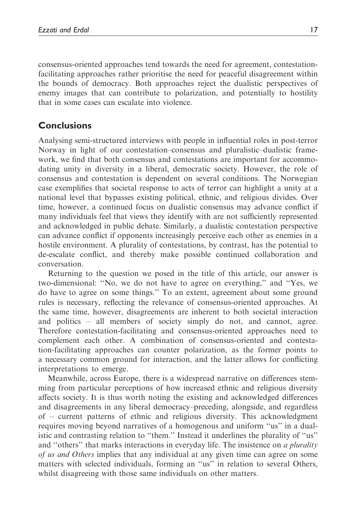consensus-oriented approaches tend towards the need for agreement, contestationfacilitating approaches rather prioritise the need for peaceful disagreement within the bounds of democracy. Both approaches reject the dualistic perspectives of enemy images that can contribute to polarization, and potentially to hostility that in some cases can escalate into violence.

## **Conclusions**

Analysing semi-structured interviews with people in influential roles in post-terror Norway in light of our contestation–consensus and pluralistic–dualistic framework, we find that both consensus and contestations are important for accommodating unity in diversity in a liberal, democratic society. However, the role of consensus and contestation is dependent on several conditions. The Norwegian case exemplifies that societal response to acts of terror can highlight a unity at a national level that bypasses existing political, ethnic, and religious divides. Over time, however, a continued focus on dualistic consensus may advance conflict if many individuals feel that views they identify with are not sufficiently represented and acknowledged in public debate. Similarly, a dualistic contestation perspective can advance conflict if opponents increasingly perceive each other as enemies in a hostile environment. A plurality of contestations, by contrast, has the potential to de-escalate conflict, and thereby make possible continued collaboration and conversation.

Returning to the question we posed in the title of this article, our answer is two-dimensional: ''No, we do not have to agree on everything,'' and ''Yes, we do have to agree on some things.'' To an extent, agreement about some ground rules is necessary, reflecting the relevance of consensus-oriented approaches. At the same time, however, disagreements are inherent to both societal interaction and politics – all members of society simply do not, and cannot, agree. Therefore contestation-facilitating and consensus-oriented approaches need to complement each other. A combination of consensus-oriented and contestation-facilitating approaches can counter polarization, as the former points to a necessary common ground for interaction, and the latter allows for conflicting interpretations to emerge.

Meanwhile, across Europe, there is a widespread narrative on differences stemming from particular perceptions of how increased ethnic and religious diversity affects society. It is thus worth noting the existing and acknowledged differences and disagreements in any liberal democracy–preceding, alongside, and regardless of – current patterns of ethnic and religious diversity. This acknowledgment requires moving beyond narratives of a homogenous and uniform ''us'' in a dualistic and contrasting relation to ''them.'' Instead it underlines the plurality of ''us'' and "others" that marks interactions in everyday life. The insistence on a plurality of us and Others implies that any individual at any given time can agree on some matters with selected individuals, forming an ''us'' in relation to several Others, whilst disagreeing with those same individuals on other matters.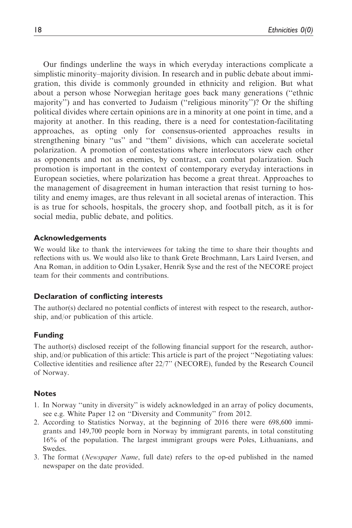Our findings underline the ways in which everyday interactions complicate a simplistic minority–majority division. In research and in public debate about immigration, this divide is commonly grounded in ethnicity and religion. But what about a person whose Norwegian heritage goes back many generations (''ethnic majority'') and has converted to Judaism (''religious minority'')? Or the shifting political divides where certain opinions are in a minority at one point in time, and a majority at another. In this reading, there is a need for contestation-facilitating approaches, as opting only for consensus-oriented approaches results in strengthening binary ''us'' and ''them'' divisions, which can accelerate societal polarization. A promotion of contestations where interlocutors view each other as opponents and not as enemies, by contrast, can combat polarization. Such promotion is important in the context of contemporary everyday interactions in European societies, where polarization has become a great threat. Approaches to the management of disagreement in human interaction that resist turning to hostility and enemy images, are thus relevant in all societal arenas of interaction. This is as true for schools, hospitals, the grocery shop, and football pitch, as it is for social media, public debate, and politics.

#### Acknowledgements

We would like to thank the interviewees for taking the time to share their thoughts and reflections with us. We would also like to thank Grete Brochmann, Lars Laird Iversen, and Ana Roman, in addition to Odin Lysaker, Henrik Syse and the rest of the NECORE project team for their comments and contributions.

#### Declaration of conflicting interests

The author(s) declared no potential conflicts of interest with respect to the research, authorship, and/or publication of this article.

#### Funding

The author(s) disclosed receipt of the following financial support for the research, authorship, and/or publication of this article: This article is part of the project ''Negotiating values: Collective identities and resilience after 22/7'' (NECORE), funded by the Research Council of Norway.

#### **Notes**

- 1. In Norway ''unity in diversity'' is widely acknowledged in an array of policy documents, see e.g. White Paper 12 on ''Diversity and Community'' from 2012.
- 2. According to Statistics Norway, at the beginning of 2016 there were 698,600 immigrants and 149,700 people born in Norway by immigrant parents, in total constituting 16% of the population. The largest immigrant groups were Poles, Lithuanians, and Swedes.
- 3. The format (Newspaper Name, full date) refers to the op-ed published in the named newspaper on the date provided.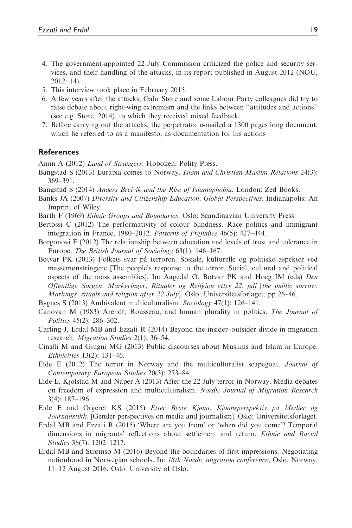- 4. The government-appointed 22 July Commission criticized the police and security services, and their handling of the attacks, in its report published in August 2012 (NOU, 2012: 14).
- 5. This interview took place in February 2015.
- 6. A few years after the attacks, Gahr Støre and some Labour Party colleagues did try to raise debate about right-wing extremism and the links between ''attitudes and actions'' (see e.g. Støre, 2014), to which they received mixed feedback.
- 7. Before carrying out the attacks, the perpetrator e-mailed a 1300 pages long document, which he referred to as a manifesto, as documentation for his actions

#### **References**

Amin A (2012) Land of Strangers. Hoboken: Polity Press.

- Bangstad S (2013) Eurabia comes to Norway. Islam and Christian-Muslim Relations 24(3): 369–391.
- Bangstad S (2014) Anders Breivik and the Rise of Islamophobia. London: Zed Books.
- Banks JA (2007) Diversity and Citizenship Education. Global Perspectives. Indianapolis: An Imprint of Wiley.
- Barth F (1969) *Ethnic Groups and Boundaries*. Oslo: Scandinavian University Press.
- Bertossi C (2012) The performativity of colour blindness. Race politics and immigrant integration in France, 1980–2012. Patterns of Prejudice 46(5): 427–444.
- Borgonovi F (2012) The relationship between education and levels of trust and tolerance in Europe. The British Journal of Sociology 63(1): 146–167.
- Botvar PK (2013) Folkets svar på terroren. Sosiale, kulturelle og politiske aspekter ved massemønstringene [The people's response to the terror. Social, cultural and political aspects of the mass assemblies]. In: Aagedal O, Botvar PK and Høeg IM (eds) Den Offentlige Sorgen. Markeringer, Ritualer og Religion etter 22. juli [the public sorrow. Markings, rituals and religion after 22 July]. Oslo: Universitetsforlaget, pp.26-46.
- Bygnes S (2013) Ambivalent multiculturalism. Sociology 47(1): 126–141.
- Canovan M (1983) Arendt, Rousseau, and human plurality in politics. The Journal of Politics 45(2): 286–302.
- Carling J, Erdal MB and Ezzati R (2014) Beyond the insider–outsider divide in migration research. Migration Studies 2(1): 36-54.
- Cinalli M and Giugni MG (2013) Public discourses about Muslims and Islam in Europe. Ethnicities 13(2): 131–46.
- Eide E (2012) The terror in Norway and the multiculturalist scapegoat. Journal of Contemporary European Studies 20(3): 273–84.
- Eide E, Kjølstad M and Naper A (2013) After the 22 July terror in Norway. Media debates on freedom of expression and multiculturalism. Nordic Journal of Migration Research 3(4): 187–196.
- Eide E and Orgeret KS (2015) Etter Beste Kjønn. Kjønnsperspektiv på Medier og Journalistikk. [Gender perspectives on media and journalism]. Oslo: Universitetsforlaget.
- Erdal MB and Ezzati R (2015) 'Where are you from' or 'when did you come'? Temporal dimensions in migrants' reflections about settlement and return. Ethnic and Racial Studies 38(7): 1202–1217.
- Erdal MB and Strømsø M (2016) Beyond the boundaries of first-impressions. Negotiating nationhood in Norwegian schools. In: 18th Nordic migration conference, Oslo, Norway, 11–12 August 2016. Oslo: University of Oslo.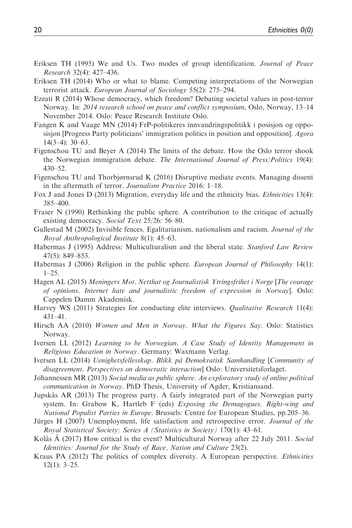- Eriksen TH (1995) We and Us. Two modes of group identification. Journal of Peace Research 32(4): 427–436.
- Eriksen TH (2014) Who or what to blame. Competing interpretations of the Norwegian terrorist attack. European Journal of Sociology 55(2): 275–294.
- Ezzati R (2014) Whose democracy, which freedom? Debating societal values in post-terror Norway. In: 2014 research school on peace and conflict symposium, Oslo, Norway, 13–14 November 2014. Oslo: Peace Research Institute Oslo.
- Fangen K and Vaage MN (2014) FrP-politikeres innvandringspolitikk i posisjon og opposisjon [Progress Party politicians' immigration politics in position and opposition]. Agora 14(3–4): 30–63.
- Figenschou TU and Beyer A (2014) The limits of the debate. How the Oslo terror shook the Norwegian immigration debate. The International Journal of Press/Politics 19(4): 430–52.
- Figenschou TU and Thorbjørnsrud K (2016) Disruptive mediate events. Managing dissent in the aftermath of terror. Journalism Practice 2016: 1–18.
- Fox J and Jones D (2013) Migration, everyday life and the ethnicity bias. *Ethnicities* 13(4): 385–400.
- Fraser N (1990) Rethinking the public sphere. A contribution to the critique of actually existing democracy. Social Text 25/26: 56-80.
- Gullestad M (2002) Invisible fences. Egalitarianism, nationalism and racism. Journal of the Royal Anthropological Institute 8(1): 45–63.
- Habermas J (1995) Address: Multiculturalism and the liberal state. Stanford Law Review 47(5): 849–853.
- Habermas J (2006) Religion in the public sphere. *European Journal of Philosophy* 14(1): 1–25.
- Hagen AL (2015) Meningers Mot. Netthat og Journalistisk Ytringsfrihet i Norge [The courage of opinions. Internet hate and journalistic freedom of expression in Norway]. Oslo: Cappelen Damm Akademisk.
- Harvey WS (2011) Strategies for conducting elite interviews. *Qualitative Research* 11(4): 431–41.
- Hirsch AA (2010) Women and Men in Norway. What the Figures Say. Oslo: Statistics Norway.
- Iversen LL (2012) Learning to be Norwegian. A Case Study of Identity Management in Religious Education in Norway. Germany: Waxmann Verlag.
- Iversen LL (2014) Uenighetsfellesskap. Blikk pa˚ Demokratisk Samhandling [Community of disagreement. Perspectives on democratic interaction] Oslo: Universitetsforlaget.
- Johannessen MR (2013) Social media as public sphere. An exploratory study of online political communication in Norway. PhD Thesis, University of Agder, Kristiansand.
- Jupskås AR (2013) The progress party. A fairly integrated part of the Norwegian party system. In: Grabow K, Hartleb F (eds) Exposing the Demagogues. Right-wing and National Populist Parties in Europe. Brussels: Centre for European Studies, pp.205–36.
- Jürges H (2007) Unemployment, life satisfaction and retrospective error. Journal of the Royal Statistical Society: Series A (Statistics in Society) 170(1): 43–61.
- Kolås Å (2017) How critical is the event? Multicultural Norway after 22 July 2011. Social Identities: Journal for the Study of Race, Nation and Culture 23(2).
- Kraus PA (2012) The politics of complex diversity. A European perspective. Ethnicities  $12(1)$ : 3–25.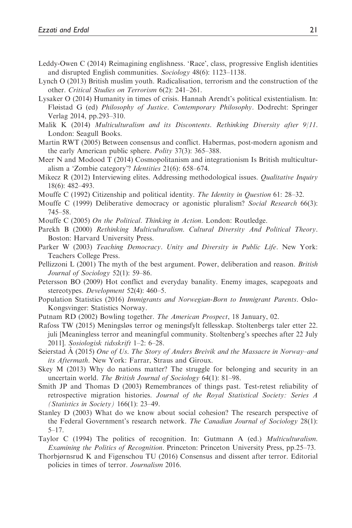- Leddy-Owen C (2014) Reimagining englishness. 'Race', class, progressive English identities and disrupted English communities. Sociology 48(6): 1123–1138.
- Lynch O (2013) British muslim youth. Radicalisation, terrorism and the construction of the other. Critical Studies on Terrorism 6(2): 241–261.
- Lysaker O (2014) Humanity in times of crisis. Hannah Arendt's political existentialism. In: Fløistad G (ed) Philosophy of Justice. Contemporary Philosophy. Dodrecht: Springer Verlag 2014, pp.293–310.
- Malik K (2014) Multiculturalism and its Discontents. Rethinking Diversity after 9/11. London: Seagull Books.
- Martin RWT (2005) Between consensus and conflict. Habermas, post-modern agonism and the early American public sphere. Polity 37(3): 365–388.
- Meer N and Modood T (2014) Cosmopolitanism and integrationism Is British multiculturalism a 'Zombie category'? Identities 21(6): 658–674.
- Mikecz R (2012) Interviewing elites. Addressing methodological issues. *Qualitative Inquiry* 18(6): 482–493.
- Mouffe C (1992) Citizenship and political identity. The Identity in Question 61: 28–32.
- Mouffe C (1999) Deliberative democracy or agonistic pluralism? Social Research 66(3): 745–58.
- Mouffe C (2005) On the Political. Thinking in Action. London: Routledge.
- Parekh B (2000) Rethinking Multiculturalism. Cultural Diversity And Political Theory. Boston: Harvard University Press.
- Parker W (2003) Teaching Democracy. Unity and Diversity in Public Life. New York: Teachers College Press.
- Pellizzoni L (2001) The myth of the best argument. Power, deliberation and reason. *British* Journal of Sociology 52(1): 59–86.
- Petersson BO (2009) Hot conflict and everyday banality. Enemy images, scapegoats and stereotypes. Development 52(4): 460-5.
- Population Statistics (2016) Immigrants and Norwegian-Born to Immigrant Parents. Oslo-Kongsvinger: Statistics Norway.
- Putnam RD (2002) Bowling together. The American Prospect, 18 January, 02.
- Rafoss TW (2015) Meningsløs terror og meningsfylt fellesskap. Stoltenbergs taler etter 22. juli [Meaningless terror and meaningful community. Stoltenberg's speeches after 22 July 2011]. Sosiologisk tidsskrift 1–2: 6–28.
- Seierstad A (2015) One of Us. The Story of Anders Breivik and the Massacre in Norway–and its Aftermath. New York: Farrar, Straus and Giroux.
- Skey M (2013) Why do nations matter? The struggle for belonging and security in an uncertain world. The British Journal of Sociology 64(1): 81–98.
- Smith JP and Thomas D (2003) Remembrances of things past. Test-retest reliability of retrospective migration histories. Journal of the Royal Statistical Society: Series A (Statistics in Society)  $166(1)$ : 23–49.
- Stanley D (2003) What do we know about social cohesion? The research perspective of the Federal Government's research network. The Canadian Journal of Sociology 28(1): 5–17.
- Taylor C (1994) The politics of recognition. In: Gutmann A (ed.) Multiculturalism. Examining the Politics of Recognition. Princeton: Princeton University Press, pp.25–73.
- Thorbjørnsrud K and Figenschou TU (2016) Consensus and dissent after terror. Editorial policies in times of terror. Journalism 2016.